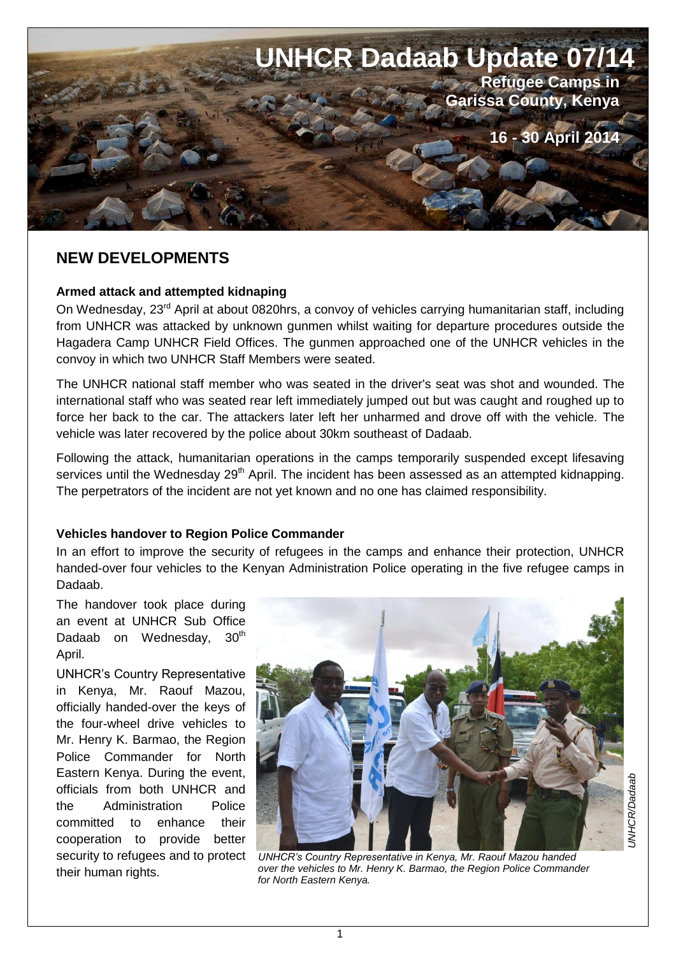

# **NEW DEVELOPMENTS** *<sup>=</sup>*

#### **Armed attack and attempted kidnaping**

On Wednesday, 23<sup>rd</sup> April at about 0820hrs, a convoy of vehicles carrying humanitarian staff, including from UNHCR was attacked by unknown gunmen whilst waiting for departure procedures outside the Hagadera Camp UNHCR Field Offices. The gunmen approached one of the UNHCR vehicles in the convoy in which two UNHCR Staff Members were seated.

The UNHCR national staff member who was seated in the driver's seat was shot and wounded. The international staff who was seated rear left immediately jumped out but was caught and roughed up to force her back to the car. The attackers later left her unharmed and drove off with the vehicle. The vehicle was later recovered by the police about 30km southeast of Dadaab.

Following the attack, humanitarian operations in the camps temporarily suspended except lifesaving services until the Wednesday 29<sup>th</sup> April. The incident has been assessed as an attempted kidnapping. The perpetrators of the incident are not yet known and no one has claimed responsibility.

#### **Vehicles handover to Region Police Commander**

In an effort to improve the security of refugees in the camps and enhance their protection, UNHCR handed-over four vehicles to the Kenyan Administration Police operating in the five refugee camps in Dadaab.

The handover took place during an event at UNHCR Sub Office Dadaab on Wednesday, 30<sup>th</sup> April.

UNHCR's Country Representative in Kenya, Mr. Raouf Mazou, officially handed-over the keys of the four-wheel drive vehicles to Mr. Henry K. Barmao, the Region Police Commander for North Eastern Kenya. During the event, officials from both UNHCR and the Administration Police committed to enhance their cooperation to provide better their human rights.

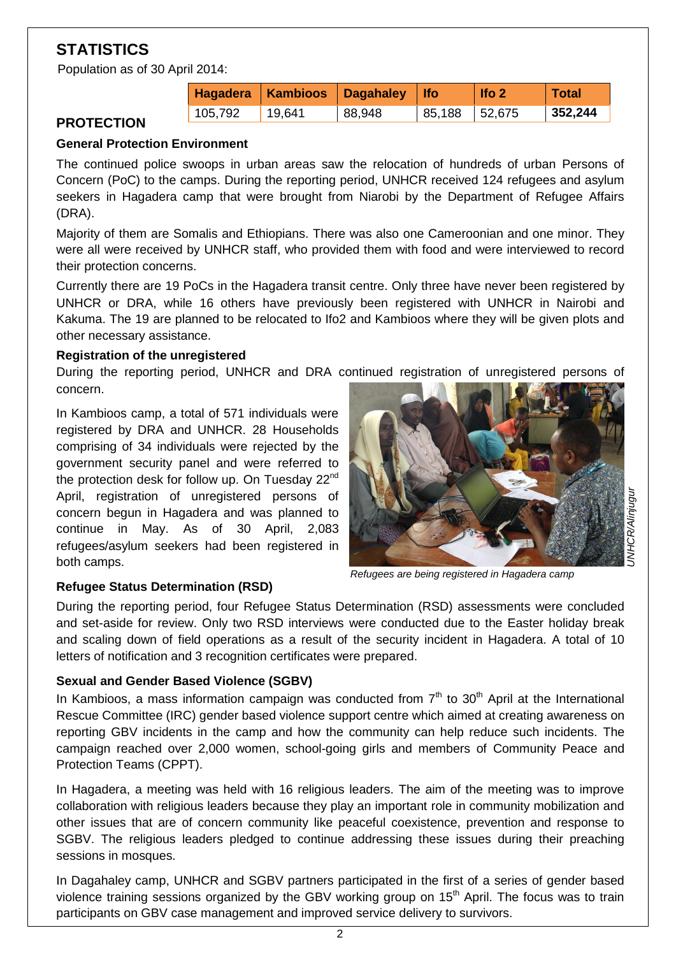# **STATISTICS**

Population as of 30 April 2014:

|         | Hagadera   Kambioos   Dagahaley |        | $ $ Ifo | $\vert$ Ifo 2 | <b>Total</b> |
|---------|---------------------------------|--------|---------|---------------|--------------|
| 105,792 | ່ 19,641                        | 88,948 | 85,188  | 52,675        | 352,244      |

# **PROTECTION**

## **General Protection Environment**

The continued police swoops in urban areas saw the relocation of hundreds of urban Persons of Concern (PoC) to the camps. During the reporting period, UNHCR received 124 refugees and asylum seekers in Hagadera camp that were brought from Niarobi by the Department of Refugee Affairs (DRA).

Majority of them are Somalis and Ethiopians. There was also one Cameroonian and one minor. They were all were received by UNHCR staff, who provided them with food and were interviewed to record their protection concerns.

Currently there are 19 PoCs in the Hagadera transit centre. Only three have never been registered by UNHCR or DRA, while 16 others have previously been registered with UNHCR in Nairobi and Kakuma. The 19 are planned to be relocated to Ifo2 and Kambioos where they will be given plots and other necessary assistance.

#### **Registration of the unregistered**

During the reporting period, UNHCR and DRA continued registration of unregistered persons of concern.

In Kambioos camp, a total of 571 individuals were registered by DRA and UNHCR. 28 Households comprising of 34 individuals were rejected by the government security panel and were referred to the protection desk for follow up. On Tuesday 22<sup>nd</sup> April, registration of unregistered persons of concern begun in Hagadera and was planned to continue in May. As of 30 April, 2,083 refugees/asylum seekers had been registered in both camps.



*Refugees are being registered in Hagadera camp*

## **Refugee Status Determination (RSD)**

During the reporting period, four Refugee Status Determination (RSD) assessments were concluded and set-aside for review. Only two RSD interviews were conducted due to the Easter holiday break and scaling down of field operations as a result of the security incident in Hagadera. A total of 10 letters of notification and 3 recognition certificates were prepared.

## **Sexual and Gender Based Violence (SGBV)**

In Kambioos, a mass information campaign was conducted from  $7<sup>th</sup>$  to 30<sup>th</sup> April at the International Rescue Committee (IRC) gender based violence support centre which aimed at creating awareness on reporting GBV incidents in the camp and how the community can help reduce such incidents. The campaign reached over 2,000 women, school-going girls and members of Community Peace and Protection Teams (CPPT).

In Hagadera, a meeting was held with 16 religious leaders. The aim of the meeting was to improve collaboration with religious leaders because they play an important role in community mobilization and other issues that are of concern community like peaceful coexistence, prevention and response to SGBV. The religious leaders pledged to continue addressing these issues during their preaching sessions in mosques.

In Dagahaley camp, UNHCR and SGBV partners participated in the first of a series of gender based violence training sessions organized by the GBV working group on  $15<sup>th</sup>$  April. The focus was to train participants on GBV case management and improved service delivery to survivors.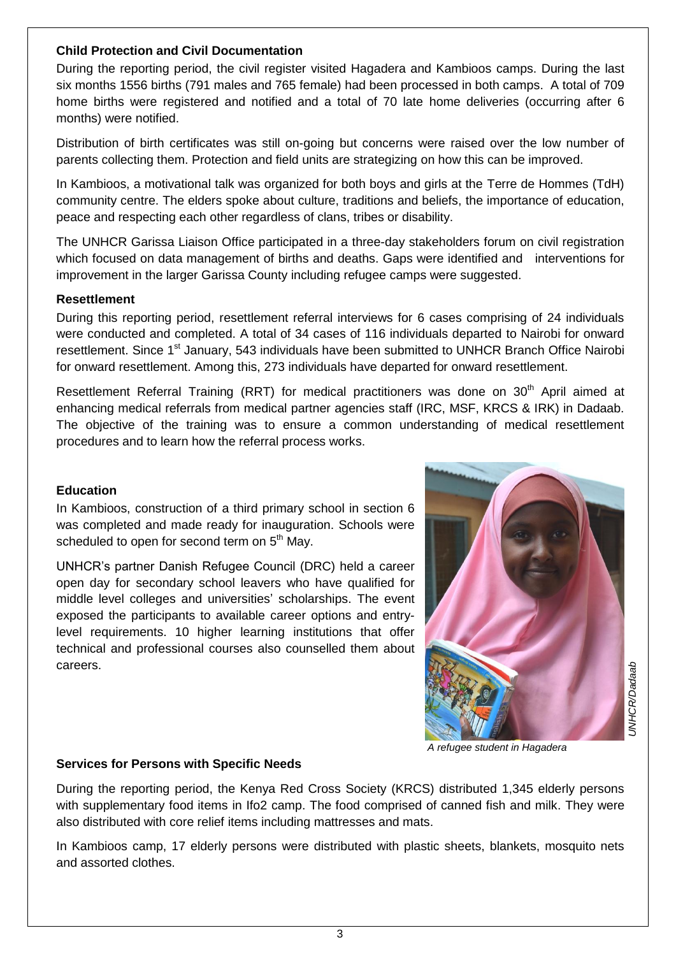#### **Child Protection and Civil Documentation**

During the reporting period, the civil register visited Hagadera and Kambioos camps. During the last six months 1556 births (791 males and 765 female) had been processed in both camps. A total of 709 home births were registered and notified and a total of 70 late home deliveries (occurring after 6 months) were notified.

Distribution of birth certificates was still on-going but concerns were raised over the low number of parents collecting them. Protection and field units are strategizing on how this can be improved.

In Kambioos, a motivational talk was organized for both boys and girls at the Terre de Hommes (TdH) community centre. The elders spoke about culture, traditions and beliefs, the importance of education, peace and respecting each other regardless of clans, tribes or disability.

The UNHCR Garissa Liaison Office participated in a three-day stakeholders forum on civil registration which focused on data management of births and deaths. Gaps were identified and interventions for improvement in the larger Garissa County including refugee camps were suggested.

#### **Resettlement**

During this reporting period, resettlement referral interviews for 6 cases comprising of 24 individuals were conducted and completed. A total of 34 cases of 116 individuals departed to Nairobi for onward resettlement. Since 1<sup>st</sup> January, 543 individuals have been submitted to UNHCR Branch Office Nairobi for onward resettlement. Among this, 273 individuals have departed for onward resettlement.

Resettlement Referral Training (RRT) for medical practitioners was done on 30<sup>th</sup> April aimed at enhancing medical referrals from medical partner agencies staff (IRC, MSF, KRCS & IRK) in Dadaab. The objective of the training was to ensure a common understanding of medical resettlement procedures and to learn how the referral process works.

## **Education**

In Kambioos, construction of a third primary school in section 6 was completed and made ready for inauguration. Schools were scheduled to open for second term on 5<sup>th</sup> May.

UNHCR's partner Danish Refugee Council (DRC) held a career open day for secondary school leavers who have qualified for middle level colleges and universities' scholarships. The event exposed the participants to available career options and entrylevel requirements. 10 higher learning institutions that offer technical and professional courses also counselled them about careers.



*A refugee student in Hagadera* 

#### **Services for Persons with Specific Needs**

During the reporting period, the Kenya Red Cross Society (KRCS) distributed 1,345 elderly persons with supplementary food items in Ifo2 camp. The food comprised of canned fish and milk. They were also distributed with core relief items including mattresses and mats.

In Kambioos camp, 17 elderly persons were distributed with plastic sheets, blankets, mosquito nets and assorted clothes.